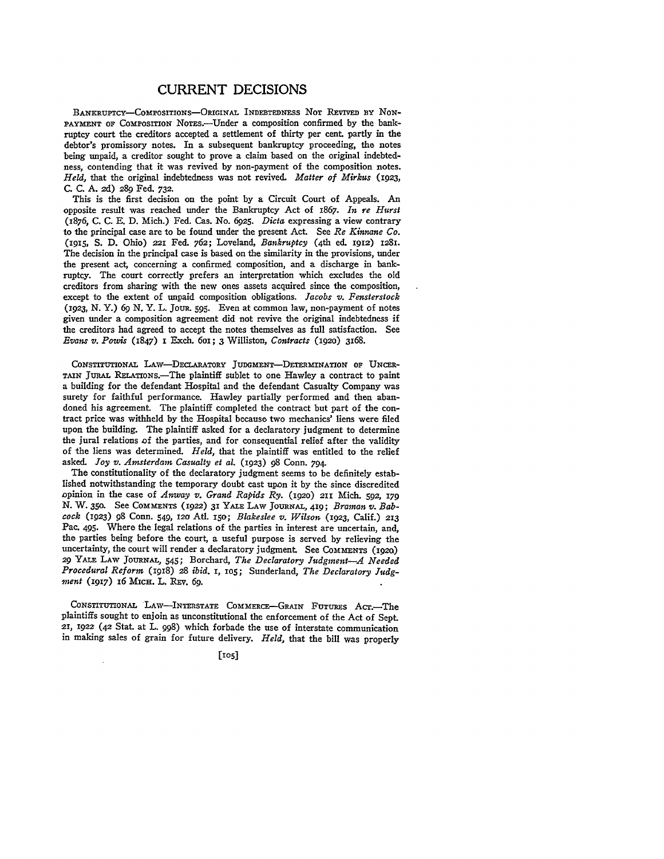## CURRENT DECISIONS

BANKRuPTcY-CoMPoSITIONS-ORIGINAL INDEBTEDNESS **NOT** REVIvED BY Nox-PAYMENT OF COMPOSITION NOTES.--Under a composition confirmed by the bankruptcy court the creditors accepted a settlement of thirty per cent. partly in the debtor's promissory notes. In a subsequent bankruptcy proceeding, the notes being unpaid, a creditor sought to prove a claim based on the original indebtedness, contending that it was revived by non-payment of the composition notes. *Held,* that the original indebtedness was not revived. *Matter of Mirkus* (1923, **C. C. A.** 2d) 289 Fed. 732.

This is the first decision on the point **by** a Circuit Court of Appeals. An opposite result was reached under the Bankruptcy Act of 1867. *In re Hurst* (1876, **C. C. E. D.** Mich.) Fed. Cas. No. 6925. *Dicta* expressing a view contrary to the principal case are to be found under the present Act. See *Re Kinnane Co.* (915, **S. D.** Ohio) 221 Fed. 762; Loveland, *Bankruptcy* (4th ed. 1912) 1281. The decision in the principal case is based on the similarity in the provisions, under the present act, concerning a confirmed composition, and a discharge in bankruptcy. The court correctly prefers an interpretation which excludes the old creditors from sharing with the new ones assets acquired since the composition, except to the extent of unpaid composition obligations. *Jacobs v. Fensterstock* (1923, N. Y.) *69* N. Y. L. JOUR. **595.** Even at common law, non-payment of notes given under a composition agreement did not revive the original indebtedness if the creditors had agreed to accept the notes themselves as full satisfaction. See *Evans v. Powis* (1847) I Exch. 6oi; 3 Williston, *Contracts* (1920) 3168.

CONSTITUTIONAL LAW-DECLARATORY JUDGMENT-DETERMINATION OF UNCER-TAIN JuRAL RELATIONs.-The plaintiff sublet to one Hawley a contract to paint a building for the defendant Hospital and the defendant Casualty Company was surety for faithful performance. Hawley partially performed and then abandoned his agreement. The plaintiff completed the contract but part of the contract price was withheld by the Hospital because two mechanics' liens were filed upon the building. The plaintiff asked for a declaratory judgment to determine the jural relations of the parties, and for consequential relief after the validity of the liens was determined. *Held,* that the plaintiff was entitled to the relief asked. *Joy v. Amsterdam Casualty et al.* (1923) **98** Conn. 794.

The constitutionality of the declaratory judgment seems to be definitely established notwithstanding the temporary doubt cast upon it by the since discredited opinion in the case of *Anway v. Grand Rapids Ry.* (192o) 211 Mich. 592, **179 N.** W. **350.** See COMMENTS (1922) 31 YALE LAW JOURNAL, 419; *Braman v. Babcock* (1923) **98** Conn. 549, 120 Atl. i50; *Blakeslee v. Wilson* (923, Calif.) 213 Pac. 495. Where the legal relations of the parties in interest are uncertain, and, the parties being before the court, a useful purpose is served **by** relieving the uncertainty, the court will render a declaratory judgment. See COMMENTS  $(1920)$ 29 YALE LAW JOURNAL, 545; Borchard, *The Declaratory Judgment-A Needed Procedural Reform* (1918) 28 *ibid.* I, **105;** Sunderland, *The Declaratory Judgment* (1917) 16 MIcH. L. REV. **69.**

CONSTITUTIONAL LAW-INTERSTATE COMMERCE-GRAIN FUTURES ACT.-The plaintiffs sought to enjoin as unconstitutional the enforcement of the Act of Sept. 21, 1922 (42 Stat. at L. **998)** which forbade the use of interstate communication in making sales of grain for future delivery. *Held,* that the bill was properly

**[105]**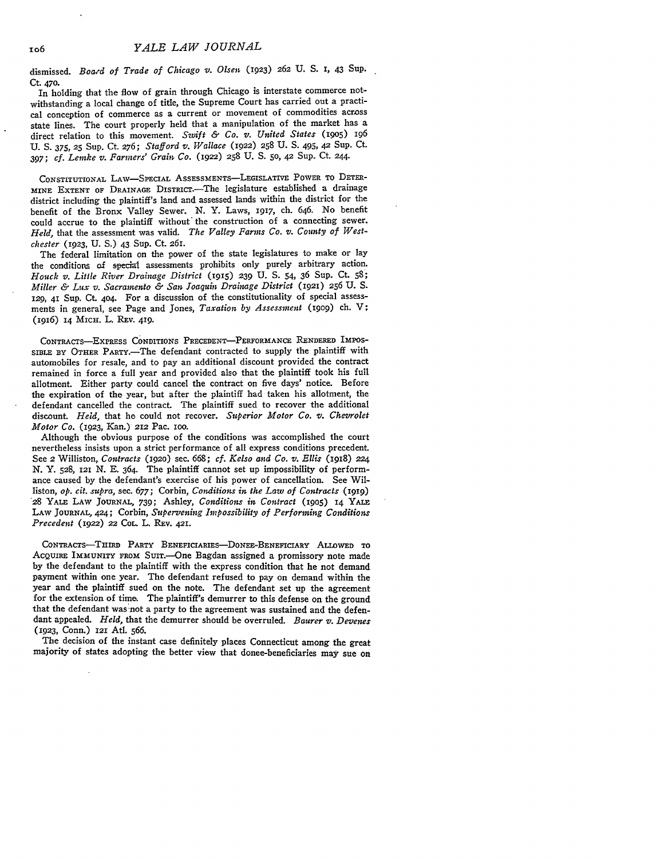dismissed. *Boa,-d of Trade of Chicago v. Olsen* (1923) *262* U. S. **I,** 43 Sup. Ct. 470.

In holding that the flow of grain through Chicago is interstate commerce notwithstanding a local change of title, the Supreme Court has carried out a practical conception of commerce as a current or movement of commodities across state lines. The court properly held that a manipulation of the market has a direct relation to this movement. *Swift & Co. v. United States* (9o5) <sup>196</sup> U. **S.** 375, **25** Sup. Ct. **276;** *Stafford v. Wallace* (1922) 258 U. **S.** 495, 42 Sup. Ct. 397; *cf. Lemke v. Farmers' Grain Co.* **(1922) 258** U. S. **50,** 42 Sup. Ct. **244.**

CONSTITUTIONAL LAw-SPECIAL ASSESSMENTS-LEGISLATIVE POWER **To DETER-MINE** EXTENT **OF** DRAINAGE DISTRac.-The legislature established a drainage district including the plaintiff's land and assessed lands within the district for the benefit of the Bronx Valley Sewer. **N.** Y. Laws, 1917, ch. 646. No benefit could accrue to the plaintiff without" the construction of a connecting sewer. *Held,* that the assessment was valid. *The Valley Farms Co. v. County of Westchester* (923, U. **S.)** 43 Sup. Ct. 261.

The federal limitation on the power of the state legislatures to make or lay the conditions of special assessments prohibits only purely arbitrary action. *Houck v. Little River Drainage District* **(1915) 239** U. S. 54, 36 Sup. Ct. **58;** *Miller & Lux v. Sacramento & San Joaquin Drainage District* (1921) 256 U. S. *129,* 41 Sup. Ct. 404. For a discussion of the constitutionality of special assessments in general, see Page and Jones, *Taxation by Assessment* **(I909)** ch. V; (igi6) 14 MICH. L. REV. 419.

CONTRAcTs-ExPREss **CONDITIONS** PRECEDENT-PERFORMANCE **RENDERED** IMPOS-SIBLE **BY** OTHER PARTY.-The defendant contracted to supply the plaintiff with automobiles for resale, and to pay an additional discount provided the contract remained in force a full year and provided also that the plaintiff took his full allotment. Either party could cancel the contract on five days' notice. Before the expiration of the year, but after the plaintiff had taken his allotment, the defendant cancelled the contract. The plaintiff sued to recover the additional discount. *Held,* that he could not recover. *Superior Motor Co. v. Chevrolet Motor Co.* (1923, Kan.) **212** Pac. ioo.

Although the obvious purpose of the conditions was accomplished the court nevertheless insists upon a strict performance of all express conditions precedent. See 2 Williston, *Contracts* (1920) sec. 668; *cf. Kelso and Co. v. Ellis* (1918) **224** N. Y. 528, **121** N. E. 364. The plaintiff cannot set up impossibility of performance caused by the defendant's exercise of his power of cancellation. See Williston, *op. cit. supra,* sec. *677;* Corbin, *Conditions in the Law of Contracts* **(1919)** 28 YALE LAW **JOURNAL,** 739; Ashley, *Conditions in Contract* **(19o5)** 14 **YALE** LAW **JOURNAL, 424;** Corbin, *Supervening Impossibility of Performing Conditions Precedent* (1922) 22 CoL L. REv. 421.

CONTRAcTS-THImD PARTY BENEFICIARIES-DONEE-BENEFIcIARY **ALLOWED** TO AcQUIRE IMMUNITY FROM SuiT.-One Bagdan assigned a promissory note made by the defendant to the plaintiff with the express condition that he not demand payment within one year. The defendant refused to pay on demand within the year and the plaintiff sued on the note. The defendant set up the agreement for the extension of time. The plaintiff's demurrer to this defense on the ground that the defendant was not a party to the agreement was sustained and the defendant appealed. *Held,* that the demurrer should be overruled. *Baurer v. Devenes* **(1923,** Conn.) 121 Ati. **566.**

The decision of the instant case definitely places Connecticut among the great majority of states adopting the better view that donee-beneficiaries may sue on

**106**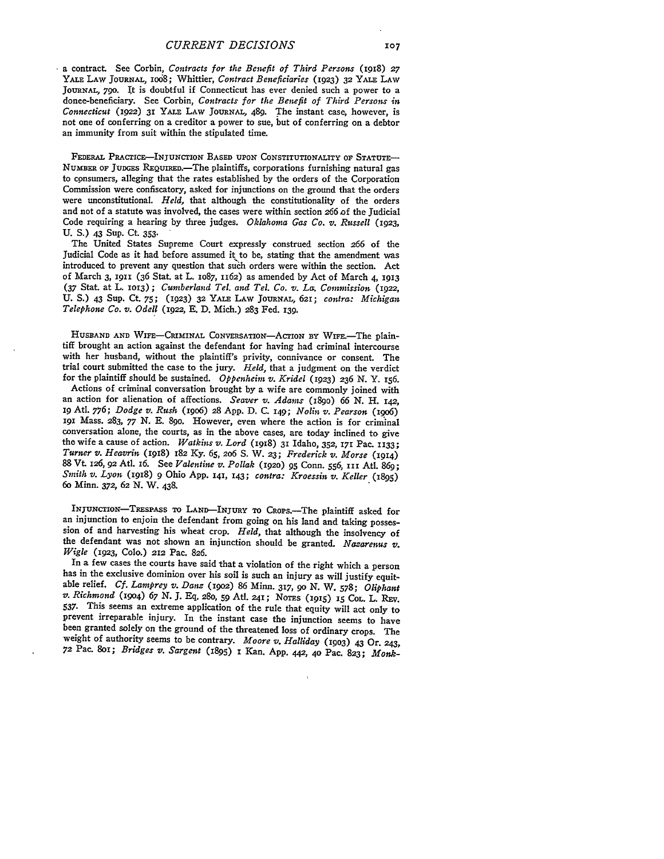**-** a contract. See Corbin, *Contracts for the Benefit of Third Persons* (I918) **27 YALE LAW JOURNAL,** io68; Whittier, *Contract Beneficiaries* **(1923) 32 YALE LAW JoURNAI, 790.** It is doubtful if Connecticut has ever denied such a power to a donee-beneficiary. See Corbin, *Contracts for the Benefit of Third Persons in Connecticut (1922)* **31 YALE LAW JOURNAL,** 489. The instant case, however, is not one of conferring on **a creditor a power to sue,** but of conferring on a debtor an immunity from suit within the stipulated time.

**FEDERAL PRAcrcE-INJuNcTIoN BASED UPON CONSTITUTIONALITY** OF **STATUTE-**NUMBER **OF JUDGES** REQuIRED.-The plaintiffs, corporations furnishing natural gas to consumers, alleging that the rates established by the orders of the Corporation Commission were confiscatory, asked for injunctions on the ground that the orders were unconstitutional. *Held*, that although the constitutionality of the orders and not of a statute was involved, the cases were within section 266 of the Judicial Code requiring a hearing by three judges. *Oklahoma Gas Co. U. Russell* (1923, **U. S.)** 43 **Sup.** Ct **353.**

The United States Supreme Court expressly construed section **266** of the Judicial Code as it had before assumed it to be, stating that the amendment was introduced to prevent any question that suh orders were within the section. Act of March **3,** 1911 (36 Stat. at L. IO87, **1162)** as amended by Act of March 4, **<sup>1913</sup>** (37 Stat at L. **1O3) ;** *Cumberland Tel. and Tel. Co. v. La. Commission* (1922, U. **S.)** 43 Sup. Ct. 75; **(1923) 32** YALE LAW **JOURNAL, 621;** *contra: Michigan Telephone Co. v. Odell* (1922, E. D. Mich.) **283** Fed. 139.

HUSBAND AND WIFE-CRIMINAL CONVERSATION-ACTION BY WIFE.-The plaintiff brought an action against the defendant for having had criminal intercourse with her husband, without the plaintiff's privity, connivance or consent. The trial court submitted the case to the jury. *Held,* that a judgment on the verdict for the plaintiff should be sustained. *Oppenheiin v. Kridel* **(1923) 236 N.** Y. 156.

Actions of criminal conversation brought **by** a wife are commonly joined with an action for alienation of affections. *Seaver v. Adams* **(I89O)** *66* **N.** H. **142, I9** Atl. **7y6;** *Dodge v. Rush* (i9o6) **28 App. D. C. I49;** *Nolin v. Pearson* (igo6) **<sup>191</sup>**Mass. **283, 77 N. E.** 89o. However, even where the action is for criminal conversation alone, the courts, as in the above cases, are today inclined to give the wife a cause of action. *Watkins v. Lord* (1918) **31** Idaho, **352, 171** Pac. **1133;** *Turner v. Heavrin* (I918) 182 **Ky. 65, 2o6 S.** W. **23;** *Frederick v. Morse* (1914) 88 Vt I26, 92 Atl. *I6.* See *Valentine v. Pollak* (1920) **95** Conn. 556, **III** Ati. **869;** *Smith v. Lyon* (1918) 9 Ohio **App. 141, 143;** *contra: Kroessin v. Keller* (1895) 6o Minn. **372, 62 N.** W. 438.

**INjUNcTIoN-TREsPAss TO LAND--INJuRY TO CRoPS.-The plaintiff** asked **for** an injunction to enjoin the defendant from going on his land and taking possession of and harvesting his wheat crop. *Held,* that although the insolvency of the defendant was not shown an injunction should be granted. *Nazarenus v. Wigle* (923, **Colo.) 212** Pac. **826.**

In a few cases the courts have said that a violation of the right which a person has in the exclusive dominion over his soil is such an injury as will justify equitable relief. *Cf. Lamprey v. Danz* (I9o2) **86** Minn. **317, 90 N.** W. **578;** *Oliphant v. Richmond* (i9o4) *67* **N. J. Eq. 280,** 59 Atl. 241; **NoTES (1915) 15** COL. L. Rv. **537.** This seems an extreme application of the rule that equity will act only to prevent irreparable injury. In the instant case the injunction seems to have been granted solely on the ground of the threatened loss of ordinary crops. The weight of authority seems to be contrary. *Moore v. Halliday* **(1903)** 43 Or. **243,** *72* Pac. 8oi; *Bridges v. Sargent* (1895) **I** Kan. App. 442, **40** Pac. **823;** *Monk-*